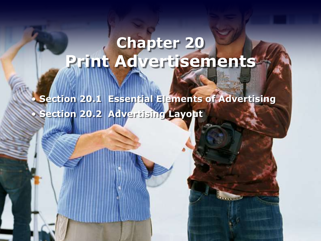# **Chapter 20 Print Advertisements**

• **Section 20.1 Essential Elements of Advertising** • **Section 20.2 Advertising Layout**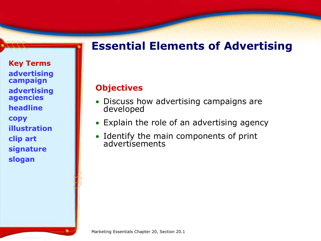## **Essential Elements of Advertising**

**Key Terms advertising campaign advertising agencies headline copy illustration clip art signature slogan** 

#### **Objectives**

- Discuss how advertising campaigns are developed
- Explain the role of an advertising agency
- Identify the main components of print advertisements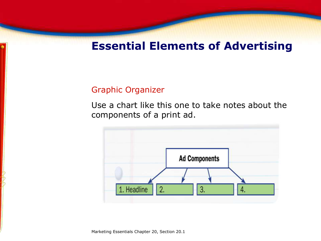## **Essential Elements of Advertising**

#### Graphic Organizer

Use a chart like this one to take notes about the components of a print ad.

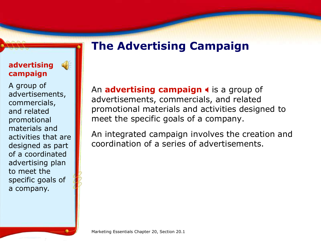## **The Advertising Campaign**

#### **advertising campaign**

 $\left(\left[\begin{array}{cc} 0 \\ 0 \end{array}\right]\right)$ 

A group of advertisements, commercials, and related promotional materials and activities that are designed as part of a coordinated advertising plan to meet the specific goals of a company.

An **advertising campaign 4** is a group of advertisements, commercials, and related promotional materials and activities designed to meet the specific goals of a company.

An integrated campaign involves the creation and coordination of a series of advertisements.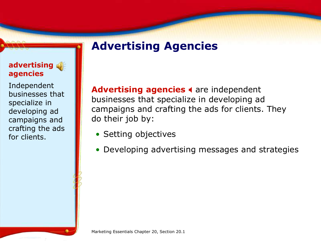### Advertising agencies < are independent businesses that specialize in developing ad campaigns and crafting the ads for clients. They do their job by:

- Setting objectives
- Developing advertising messages and strategies

### **advertising agencies**

Independent businesses that specialize in developing ad campaigns and crafting the ads for clients.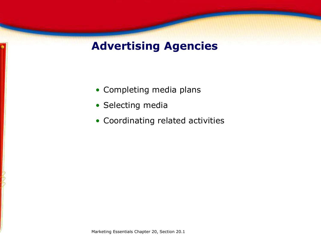- Completing media plans
- Selecting media
- Coordinating related activities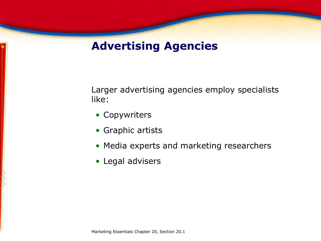Larger advertising agencies employ specialists like:

- Copywriters
- Graphic artists
- Media experts and marketing researchers
- Legal advisers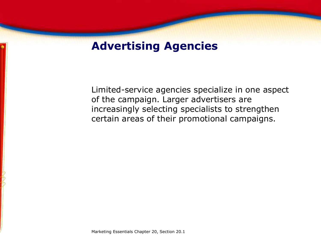Limited-service agencies specialize in one aspect of the campaign. Larger advertisers are increasingly selecting specialists to strengthen certain areas of their promotional campaigns.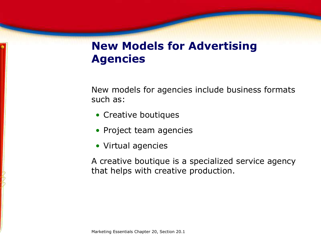## **New Models for Advertising Agencies**

New models for agencies include business formats such as:

- Creative boutiques
- Project team agencies
- Virtual agencies

A creative boutique is a specialized service agency that helps with creative production.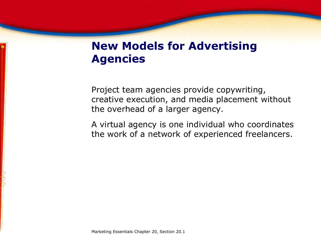## **New Models for Advertising Agencies**

Project team agencies provide copywriting, creative execution, and media placement without the overhead of a larger agency.

A virtual agency is one individual who coordinates the work of a network of experienced freelancers.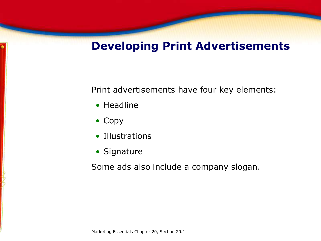## **Developing Print Advertisements**

Print advertisements have four key elements:

- Headline
- Copy
- Illustrations
- Signature

Some ads also include a company slogan.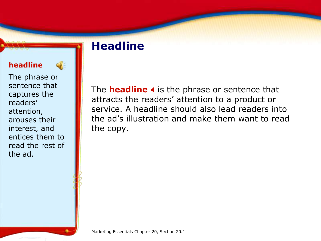## **Headline**

#### **headline**



The phrase or sentence that captures the readers' attention, arouses their interest, and entices them to read the rest of the ad.

The **headline** 4 is the phrase or sentence that attracts the readers' attention to a product or service. A headline should also lead readers into the ad's illustration and make them want to read the copy.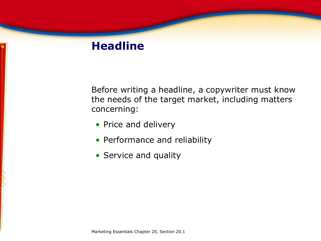## **Headline**

Before writing a headline, a copywriter must know the needs of the target market, including matters concerning:

- Price and delivery
- Performance and reliability
- Service and quality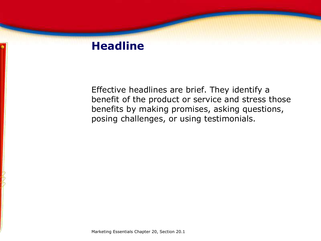## **Headline**

Effective headlines are brief. They identify a benefit of the product or service and stress those benefits by making promises, asking questions, posing challenges, or using testimonials.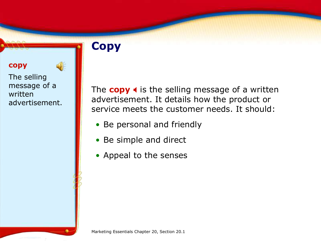## **Copy**

#### **copy**

The selling message of a written advertisement.

 $\bigcirc$ 

The  $copy \triangleleft$  is the selling message of a written advertisement. It details how the product or service meets the customer needs. It should:

- Be personal and friendly
- Be simple and direct
- Appeal to the senses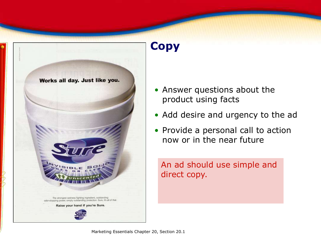

## **Copy**

- Answer questions about the product using facts
- Add desire and urgency to the ad
- Provide a personal call to action now or in the near future

An ad should use simple and direct copy.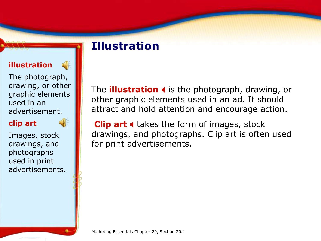#### **illustration**

 $\left(\frac{1}{2}\right)$ 

The photograph, drawing, or other graphic elements used in an advertisement.



Images, stock drawings, and photographs used in print advertisements. The **illustration I** is the photograph, drawing, or other graphic elements used in an ad. It should attract and hold attention and encourage action.

**Clip art 4** takes the form of images, stock drawings, and photographs. Clip art is often used for print advertisements.

**Illustration**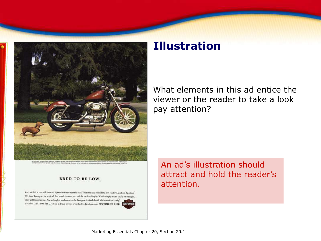

#### **BRED TO BE LOW.**

You can't feel at one with the road if you're nowhere near the road. That's the idea behind the new Harley-Davidson" Sportster" 883 Low. Twenty-six inches is all that stands between you and the earth rolling by. Which simply means you're on one agile. street-gobbling machine. And although it was born with the short gene, it's loaded with all that makes a Harky" a Harley. Call 1-800-588-2743 for a dealer or visit www.harley-davidson.com. IT'S TIME TO RIDE. Designation,

## **Illustration**

What elements in this ad entice the viewer or the reader to take a look pay attention?

An ad's illustration should attract and hold the reader's attention.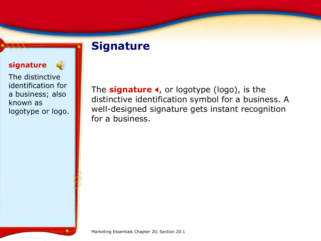## **Signature**

#### **signature**

The distinctive identification for a business; also known as logotype or logo.

 $\left(\frac{1}{2}\right)$ 

The **signature 4**, or logotype (logo), is the distinctive identification symbol for a business. A well-designed signature gets instant recognition for a business.

Marketing Essentials Chapter 20, Section 20.1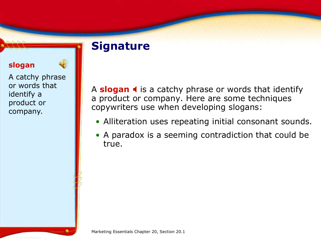## **Signature**

#### **slogan**

A catchy phrase or words that identify a product or company.

A **slogan I** is a catchy phrase or words that identify a product or company. Here are some techniques copywriters use when developing slogans:

- Alliteration uses repeating initial consonant sounds.
- A paradox is a seeming contradiction that could be true.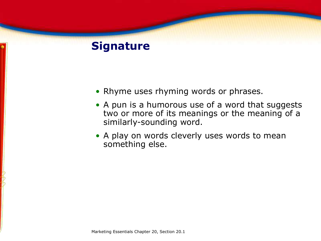## **Signature**

- Rhyme uses rhyming words or phrases.
- A pun is a humorous use of a word that suggests two or more of its meanings or the meaning of a similarly-sounding word.
- A play on words cleverly uses words to mean something else.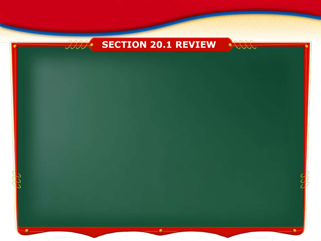

 $a \wedge a$ 



VVVV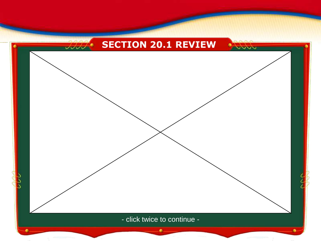



- click twice to continue -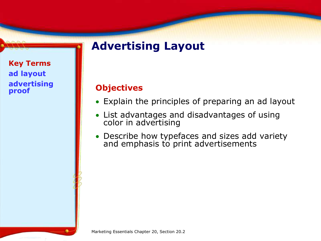## **Advertising Layout**

**Key Terms ad layout advertising proof** 

#### **Objectives**

- Explain the principles of preparing an ad layout
- List advantages and disadvantages of using color in advertising
- Describe how typefaces and sizes add variety and emphasis to print advertisements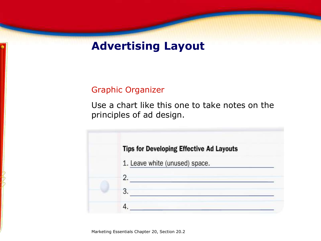## **Advertising Layout**

#### Graphic Organizer

Use a chart like this one to take notes on the principles of ad design.

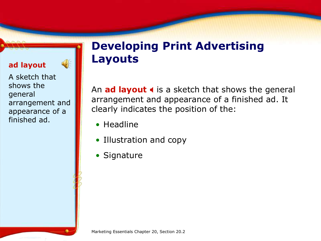#### **ad layout**

A sketch that shows the general arrangement and appearance of a finished ad.

 $\bigcirc$ 

## **Developing Print Advertising Layouts**

An **ad layout**  $\triangleleft$  is a sketch that shows the general arrangement and appearance of a finished ad. It clearly indicates the position of the:

- Headline
- Illustration and copy
- Signature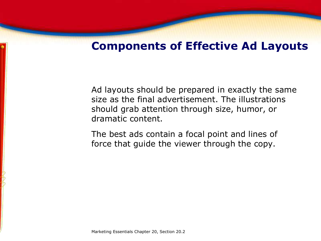## **Components of Effective Ad Layouts**

Ad layouts should be prepared in exactly the same size as the final advertisement. The illustrations should grab attention through size, humor, or dramatic content.

The best ads contain a focal point and lines of force that guide the viewer through the copy.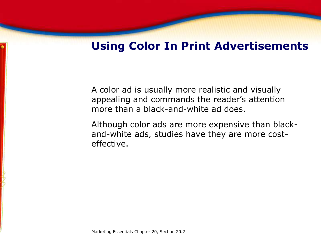## **Using Color In Print Advertisements**

A color ad is usually more realistic and visually appealing and commands the reader's attention more than a black-and-white ad does.

Although color ads are more expensive than blackand-white ads, studies have they are more costeffective.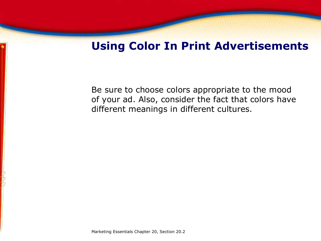## **Using Color In Print Advertisements**

Be sure to choose colors appropriate to the mood of your ad. Also, consider the fact that colors have different meanings in different cultures.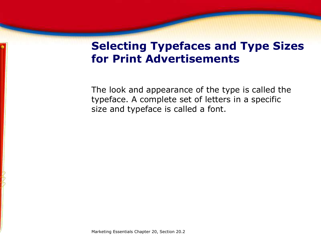## **Selecting Typefaces and Type Sizes for Print Advertisements**

The look and appearance of the type is called the typeface. A complete set of letters in a specific size and typeface is called a font.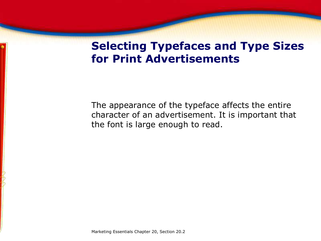## **Selecting Typefaces and Type Sizes for Print Advertisements**

The appearance of the typeface affects the entire character of an advertisement. It is important that the font is large enough to read.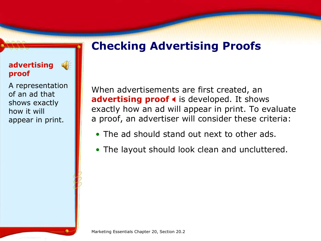## **Checking Advertising Proofs**

### **advertising proof**

A representation of an ad that shows exactly how it will appear in print.

 $\left( \begin{array}{c} 1 \\ 0 \end{array} \right)$ 

When advertisements are first created, an **advertising proof 4** is developed. It shows exactly how an ad will appear in print. To evaluate a proof, an advertiser will consider these criteria:

- The ad should stand out next to other ads.
- The layout should look clean and uncluttered.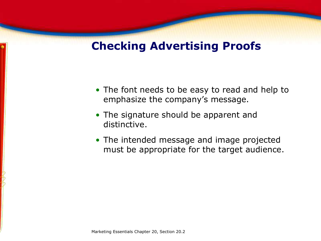## **Checking Advertising Proofs**

- The font needs to be easy to read and help to emphasize the company's message.
- The signature should be apparent and distinctive.
- The intended message and image projected must be appropriate for the target audience.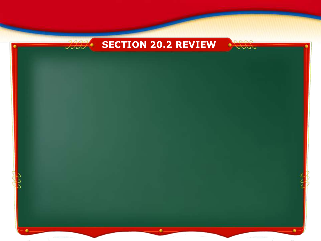## **SECTION 20.2 REVIEW**

VVVV

 $a \wedge a$  $JJJJ$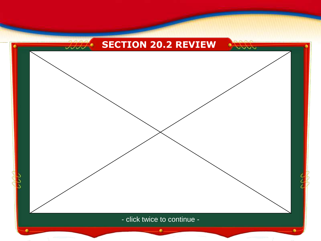



- click twice to continue -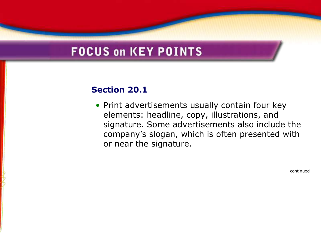## **FOCUS on KEY POINTS**

### **Section 20.1**

• Print advertisements usually contain four key elements: headline, copy, illustrations, and signature. Some advertisements also include the company's slogan, which is often presented with or near the signature.

continued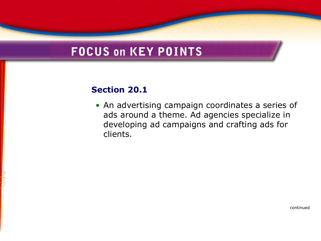## **FOCUS on KEY POINTS**

#### **Section 20.1**

• An advertising campaign coordinates a series of ads around a theme. Ad agencies specialize in developing ad campaigns and crafting ads for clients.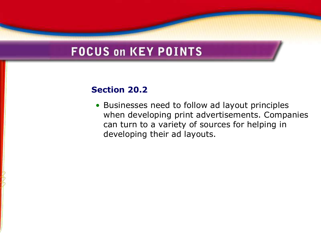## **FOCUS on KEY POINTS**

#### **Section 20.2**

• Businesses need to follow ad layout principles when developing print advertisements. Companies can turn to a variety of sources for helping in developing their ad layouts.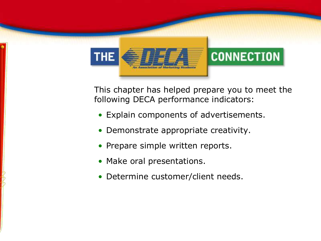

This chapter has helped prepare you to meet the following DECA performance indicators:

- Explain components of advertisements.
- Demonstrate appropriate creativity.
- Prepare simple written reports.
- Make oral presentations.
- Determine customer/client needs.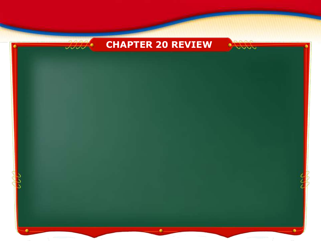## **CHAPTER 20 REVIEW**

VVVV

 $\Delta \Delta \Delta$  $JJJJ$